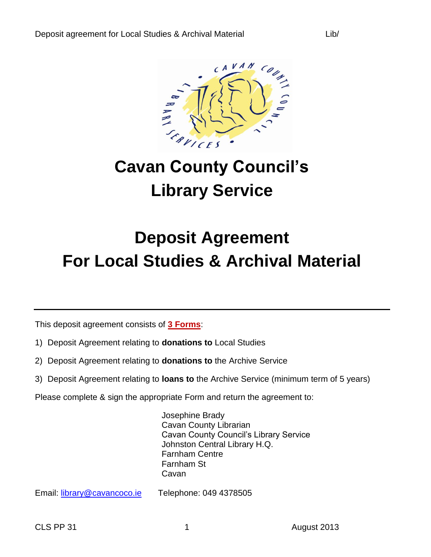

# **Cavan County Council's Library Service**

## **Deposit Agreement For Local Studies & Archival Material**

This deposit agreement consists of **3 Forms**:

- 1) Deposit Agreement relating to **donations to** Local Studies
- 2) Deposit Agreement relating to **donations to** the Archive Service
- 3) Deposit Agreement relating to **loans to** the Archive Service (minimum term of 5 years)
- Please complete & sign the appropriate Form and return the agreement to:

Josephine Brady Cavan County Librarian Cavan County Council's Library Service Johnston Central Library H.Q. Farnham Centre Farnham St Cavan

Email: [library@cavancoco.ie](mailto:library@cavancoco.ie) Telephone: 049 4378505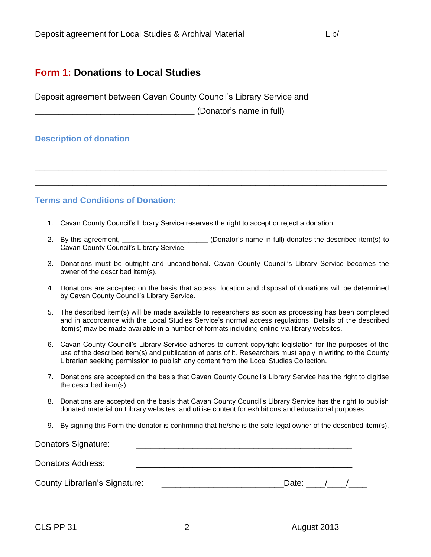### **Form 1: Donations to Local Studies**

Deposit agreement between Cavan County Council's Library Service and

**\_\_\_\_\_\_\_\_\_\_\_\_\_\_\_\_\_\_\_\_\_\_\_\_\_\_\_\_\_\_\_\_\_\_** (Donator's name in full)

#### **Description of donation**

**Terms and Conditions of Donation:**

- 1. Cavan County Council's Library Service reserves the right to accept or reject a donation.
- 2. By this agreement, \_\_\_\_\_\_\_\_\_\_\_\_\_\_\_\_\_\_\_\_\_\_\_\_\_\_\_\_\_ (Donator's name in full) donates the described item(s) to Cavan County Council's Library Service.

**\_\_\_\_\_\_\_\_\_\_\_\_\_\_\_\_\_\_\_\_\_\_\_\_\_\_\_\_\_\_\_\_\_\_\_\_\_\_\_\_\_\_\_\_\_\_\_\_\_\_\_\_\_\_\_\_\_\_\_\_\_\_\_\_\_\_\_\_\_\_\_\_\_\_\_**

**\_\_\_\_\_\_\_\_\_\_\_\_\_\_\_\_\_\_\_\_\_\_\_\_\_\_\_\_\_\_\_\_\_\_\_\_\_\_\_\_\_\_\_\_\_\_\_\_\_\_\_\_\_\_\_\_\_\_\_\_\_\_\_\_\_\_\_\_\_\_\_\_\_\_\_**

**\_\_\_\_\_\_\_\_\_\_\_\_\_\_\_\_\_\_\_\_\_\_\_\_\_\_\_\_\_\_\_\_\_\_\_\_\_\_\_\_\_\_\_\_\_\_\_\_\_\_\_\_\_\_\_\_\_\_\_\_\_\_\_\_\_\_\_\_\_\_\_\_\_\_\_**

- 3. Donations must be outright and unconditional. Cavan County Council's Library Service becomes the owner of the described item(s).
- 4. Donations are accepted on the basis that access, location and disposal of donations will be determined by Cavan County Council's Library Service.
- 5. The described item(s) will be made available to researchers as soon as processing has been completed and in accordance with the Local Studies Service's normal access regulations. Details of the described item(s) may be made available in a number of formats including online via library websites.
- 6. Cavan County Council's Library Service adheres to current copyright legislation for the purposes of the use of the described item(s) and publication of parts of it. Researchers must apply in writing to the County Librarian seeking permission to publish any content from the Local Studies Collection.
- 7. Donations are accepted on the basis that Cavan County Council's Library Service has the right to digitise the described item(s).
- 8. Donations are accepted on the basis that Cavan County Council's Library Service has the right to publish donated material on Library websites, and utilise content for exhibitions and educational purposes.
- 9. By signing this Form the donator is confirming that he/she is the sole legal owner of the described item(s).

| <b>Donators Signature:</b>           |       |  |  |
|--------------------------------------|-------|--|--|
| Donators Address:                    |       |  |  |
| <b>County Librarian's Signature:</b> | Date: |  |  |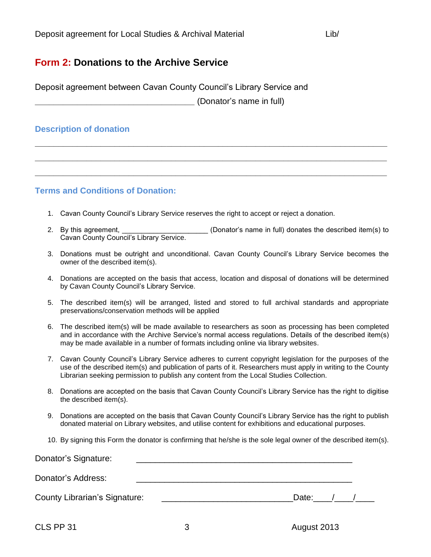## **Form 2: Donations to the Archive Service**

Deposit agreement between Cavan County Council's Library Service and

**\_\_\_\_\_\_\_\_\_\_\_\_\_\_\_\_\_\_\_\_\_\_\_\_\_\_\_\_\_\_\_\_\_\_** (Donator's name in full)

### **Description of donation**

**Terms and Conditions of Donation:**

- 1. Cavan County Council's Library Service reserves the right to accept or reject a donation.
- 2. By this agreement, the same of the same in full) donates the described item(s) to Cavan County Council's Library Service.

**\_\_\_\_\_\_\_\_\_\_\_\_\_\_\_\_\_\_\_\_\_\_\_\_\_\_\_\_\_\_\_\_\_\_\_\_\_\_\_\_\_\_\_\_\_\_\_\_\_\_\_\_\_\_\_\_\_\_\_\_\_\_\_\_\_\_\_\_\_\_\_\_\_\_\_**

**\_\_\_\_\_\_\_\_\_\_\_\_\_\_\_\_\_\_\_\_\_\_\_\_\_\_\_\_\_\_\_\_\_\_\_\_\_\_\_\_\_\_\_\_\_\_\_\_\_\_\_\_\_\_\_\_\_\_\_\_\_\_\_\_\_\_\_\_\_\_\_\_\_\_\_**

**\_\_\_\_\_\_\_\_\_\_\_\_\_\_\_\_\_\_\_\_\_\_\_\_\_\_\_\_\_\_\_\_\_\_\_\_\_\_\_\_\_\_\_\_\_\_\_\_\_\_\_\_\_\_\_\_\_\_\_\_\_\_\_\_\_\_\_\_\_\_\_\_\_\_\_**

- 3. Donations must be outright and unconditional. Cavan County Council's Library Service becomes the owner of the described item(s).
- 4. Donations are accepted on the basis that access, location and disposal of donations will be determined by Cavan County Council's Library Service.
- 5. The described item(s) will be arranged, listed and stored to full archival standards and appropriate preservations/conservation methods will be applied
- 6. The described item(s) will be made available to researchers as soon as processing has been completed and in accordance with the Archive Service's normal access regulations. Details of the described item(s) may be made available in a number of formats including online via library websites.
- 7. Cavan County Council's Library Service adheres to current copyright legislation for the purposes of the use of the described item(s) and publication of parts of it. Researchers must apply in writing to the County Librarian seeking permission to publish any content from the Local Studies Collection.
- 8. Donations are accepted on the basis that Cavan County Council's Library Service has the right to digitise the described item(s).
- 9. Donations are accepted on the basis that Cavan County Council's Library Service has the right to publish donated material on Library websites, and utilise content for exhibitions and educational purposes.
- 10. By signing this Form the donator is confirming that he/she is the sole legal owner of the described item(s).

| Donator's Signature:          |       |  |  |
|-------------------------------|-------|--|--|
| Donator's Address:            |       |  |  |
| County Librarian's Signature: | Date: |  |  |